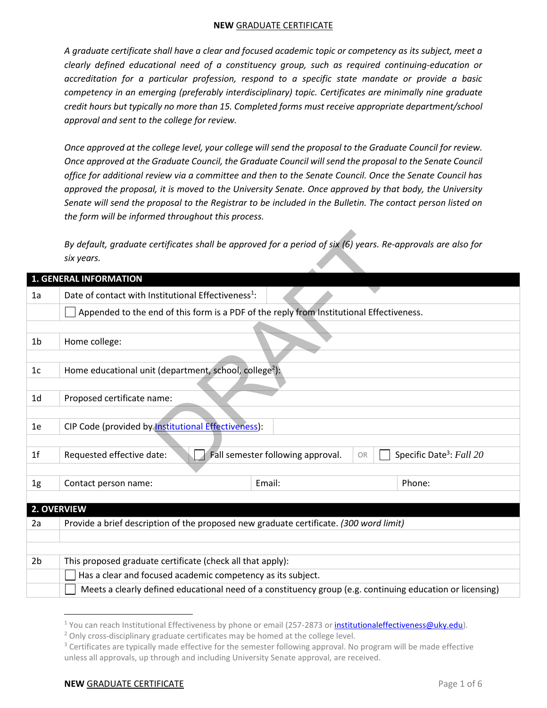*A graduate certificate shall have a clear and focused academic topic or competency as its subject, meet a clearly defined educational need of a constituency group, such as required continuing-education or accreditation for a particular profession, respond to a specific state mandate or provide a basic competency in an emerging (preferably interdisciplinary) topic. Certificates are minimally nine graduate credit hours but typically no more than 15. Completed forms must receive appropriate department/school approval and sent to the college for review.* 

*Once approved at the college level, your college will send the proposal to the Graduate Council for review. Once approved at the Graduate Council, the Graduate Council will send the proposal to the Senate Council office for additional review via a committee and then to the Senate Council. Once the Senate Council has approved the proposal, it is moved to the University Senate. Once approved by that body, the University Senate will send the proposal to the Registrar to be included in the Bulletin. The contact person listed on the form will be informed throughout this process.* 

|                | By default, graduate certificates shall be approved for a period of $\sin(6)$ years. Re-approvals are also for<br>six years. |                                         |                                      |  |
|----------------|------------------------------------------------------------------------------------------------------------------------------|-----------------------------------------|--------------------------------------|--|
|                | <b>1. GENERAL INFORMATION</b>                                                                                                |                                         |                                      |  |
| 1a             | Date of contact with Institutional Effectiveness <sup>1</sup> :                                                              |                                         |                                      |  |
|                | Appended to the end of this form is a PDF of the reply from Institutional Effectiveness.                                     |                                         |                                      |  |
|                |                                                                                                                              |                                         |                                      |  |
| 1b             | Home college:                                                                                                                |                                         |                                      |  |
|                |                                                                                                                              |                                         |                                      |  |
| 1 <sub>c</sub> | Home educational unit (department, school, college <sup>2</sup> ):                                                           |                                         |                                      |  |
|                |                                                                                                                              |                                         |                                      |  |
| 1 <sub>d</sub> | Proposed certificate name:                                                                                                   |                                         |                                      |  |
|                |                                                                                                                              |                                         |                                      |  |
| 1e             | CIP Code (provided by Institutional Effectiveness):                                                                          |                                         |                                      |  |
|                |                                                                                                                              |                                         |                                      |  |
| 1 <sup>f</sup> | Requested effective date:                                                                                                    | Fall semester following approval.<br>OR | Specific Date <sup>3</sup> : Fall 20 |  |
|                |                                                                                                                              |                                         |                                      |  |
| 1g             | Contact person name:                                                                                                         | Email:                                  | Phone:                               |  |
|                |                                                                                                                              |                                         |                                      |  |
|                | 2. OVERVIEW                                                                                                                  |                                         |                                      |  |
| 2a             | Provide a brief description of the proposed new graduate certificate. (300 word limit)                                       |                                         |                                      |  |
|                |                                                                                                                              |                                         |                                      |  |
|                |                                                                                                                              |                                         |                                      |  |
| 2 <sub>b</sub> | This proposed graduate certificate (check all that apply):                                                                   |                                         |                                      |  |
|                | Has a clear and focused academic competency as its subject.                                                                  |                                         |                                      |  |
|                | Meets a clearly defined educational need of a constituency group (e.g. continuing education or licensing)                    |                                         |                                      |  |

<sup>&</sup>lt;sup>1</sup> You can reach Institutional Effectiveness by phone or email (257-2873 or <u>institutionaleffectiveness@uky.edu</u>).

 $\overline{\phantom{a}}$ 

<sup>&</sup>lt;sup>2</sup> Only cross-disciplinary graduate certificates may be homed at the college level.

<sup>&</sup>lt;sup>3</sup> Certificates are typically made effective for the semester following approval. No program will be made effective unless all approvals, up through and including University Senate approval, are received.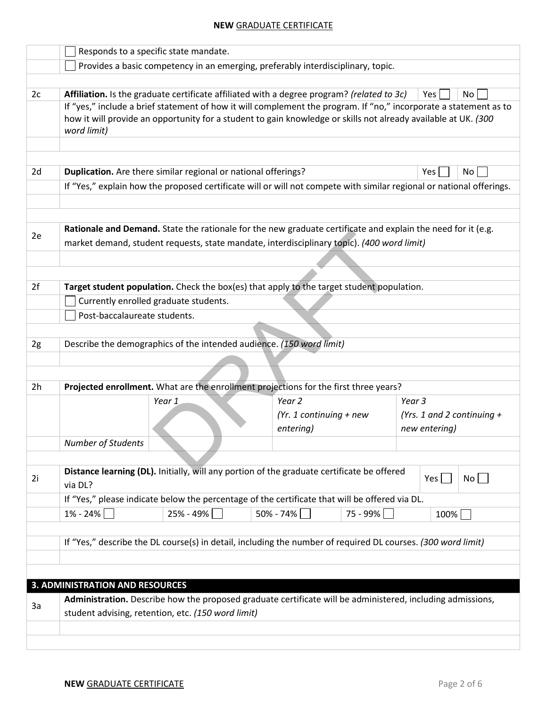|                                                                                                             | Responds to a specific state mandate.                                                                                                                                                                                                              |                                                                |                                                                                                |                                                                                                                      |  |
|-------------------------------------------------------------------------------------------------------------|----------------------------------------------------------------------------------------------------------------------------------------------------------------------------------------------------------------------------------------------------|----------------------------------------------------------------|------------------------------------------------------------------------------------------------|----------------------------------------------------------------------------------------------------------------------|--|
|                                                                                                             | Provides a basic competency in an emerging, preferably interdisciplinary, topic.                                                                                                                                                                   |                                                                |                                                                                                |                                                                                                                      |  |
|                                                                                                             |                                                                                                                                                                                                                                                    |                                                                |                                                                                                |                                                                                                                      |  |
| 2c                                                                                                          |                                                                                                                                                                                                                                                    |                                                                | Affiliation. Is the graduate certificate affiliated with a degree program? (related to 3c)     | No<br>Yes                                                                                                            |  |
|                                                                                                             | If "yes," include a brief statement of how it will complement the program. If "no," incorporate a statement as to<br>how it will provide an opportunity for a student to gain knowledge or skills not already available at UK. (300<br>word limit) |                                                                |                                                                                                |                                                                                                                      |  |
|                                                                                                             |                                                                                                                                                                                                                                                    |                                                                |                                                                                                |                                                                                                                      |  |
|                                                                                                             |                                                                                                                                                                                                                                                    |                                                                |                                                                                                |                                                                                                                      |  |
| 2d                                                                                                          |                                                                                                                                                                                                                                                    | Duplication. Are there similar regional or national offerings? |                                                                                                | Yes<br>No <sub>1</sub>                                                                                               |  |
|                                                                                                             |                                                                                                                                                                                                                                                    |                                                                |                                                                                                | If "Yes," explain how the proposed certificate will or will not compete with similar regional or national offerings. |  |
|                                                                                                             |                                                                                                                                                                                                                                                    |                                                                |                                                                                                |                                                                                                                      |  |
|                                                                                                             |                                                                                                                                                                                                                                                    |                                                                |                                                                                                |                                                                                                                      |  |
| 2e                                                                                                          | Rationale and Demand. State the rationale for the new graduate certificate and explain the need for it (e.g.<br>market demand, student requests, state mandate, interdisciplinary topic). (400 word limit)                                         |                                                                |                                                                                                |                                                                                                                      |  |
|                                                                                                             |                                                                                                                                                                                                                                                    |                                                                |                                                                                                |                                                                                                                      |  |
|                                                                                                             |                                                                                                                                                                                                                                                    |                                                                |                                                                                                |                                                                                                                      |  |
| 2f                                                                                                          |                                                                                                                                                                                                                                                    |                                                                | Target student population. Check the box(es) that apply to the target student population.      |                                                                                                                      |  |
|                                                                                                             |                                                                                                                                                                                                                                                    | Currently enrolled graduate students.                          |                                                                                                |                                                                                                                      |  |
|                                                                                                             | Post-baccalaureate students.                                                                                                                                                                                                                       |                                                                |                                                                                                |                                                                                                                      |  |
|                                                                                                             |                                                                                                                                                                                                                                                    |                                                                |                                                                                                |                                                                                                                      |  |
| 2g                                                                                                          |                                                                                                                                                                                                                                                    |                                                                | Describe the demographics of the intended audience. (150 word limit)                           |                                                                                                                      |  |
|                                                                                                             |                                                                                                                                                                                                                                                    |                                                                |                                                                                                |                                                                                                                      |  |
|                                                                                                             |                                                                                                                                                                                                                                                    |                                                                |                                                                                                |                                                                                                                      |  |
| 2h                                                                                                          |                                                                                                                                                                                                                                                    |                                                                | Projected enrollment. What are the enrollment projections for the first three years?           |                                                                                                                      |  |
|                                                                                                             |                                                                                                                                                                                                                                                    | Year 1                                                         | Year <sub>2</sub>                                                                              | Year <sub>3</sub>                                                                                                    |  |
|                                                                                                             |                                                                                                                                                                                                                                                    |                                                                | $(Yr. 1$ continuing + new                                                                      | (Yrs. 1 and 2 continuing $+$                                                                                         |  |
|                                                                                                             |                                                                                                                                                                                                                                                    |                                                                | entering)                                                                                      | new entering)                                                                                                        |  |
|                                                                                                             | Number of Students                                                                                                                                                                                                                                 |                                                                |                                                                                                |                                                                                                                      |  |
|                                                                                                             |                                                                                                                                                                                                                                                    |                                                                |                                                                                                |                                                                                                                      |  |
| Distance learning (DL). Initially, will any portion of the graduate certificate be offered<br>2i<br>via DL? |                                                                                                                                                                                                                                                    |                                                                | No<br>Yes $\vert$                                                                              |                                                                                                                      |  |
|                                                                                                             |                                                                                                                                                                                                                                                    |                                                                | If "Yes," please indicate below the percentage of the certificate that will be offered via DL. |                                                                                                                      |  |
|                                                                                                             | 1% - 24%                                                                                                                                                                                                                                           | 25% - 49%                                                      | 50% - 74%                                                                                      | 75 - 99%<br>100%                                                                                                     |  |
|                                                                                                             |                                                                                                                                                                                                                                                    |                                                                |                                                                                                |                                                                                                                      |  |
|                                                                                                             | If "Yes," describe the DL course(s) in detail, including the number of required DL courses. (300 word limit)                                                                                                                                       |                                                                |                                                                                                |                                                                                                                      |  |
|                                                                                                             |                                                                                                                                                                                                                                                    |                                                                |                                                                                                |                                                                                                                      |  |
|                                                                                                             |                                                                                                                                                                                                                                                    |                                                                |                                                                                                |                                                                                                                      |  |
|                                                                                                             | <b>3. ADMINISTRATION AND RESOURCES</b>                                                                                                                                                                                                             |                                                                |                                                                                                |                                                                                                                      |  |
| 3a                                                                                                          | Administration. Describe how the proposed graduate certificate will be administered, including admissions,<br>student advising, retention, etc. (150 word limit)                                                                                   |                                                                |                                                                                                |                                                                                                                      |  |
|                                                                                                             |                                                                                                                                                                                                                                                    |                                                                |                                                                                                |                                                                                                                      |  |
|                                                                                                             |                                                                                                                                                                                                                                                    |                                                                |                                                                                                |                                                                                                                      |  |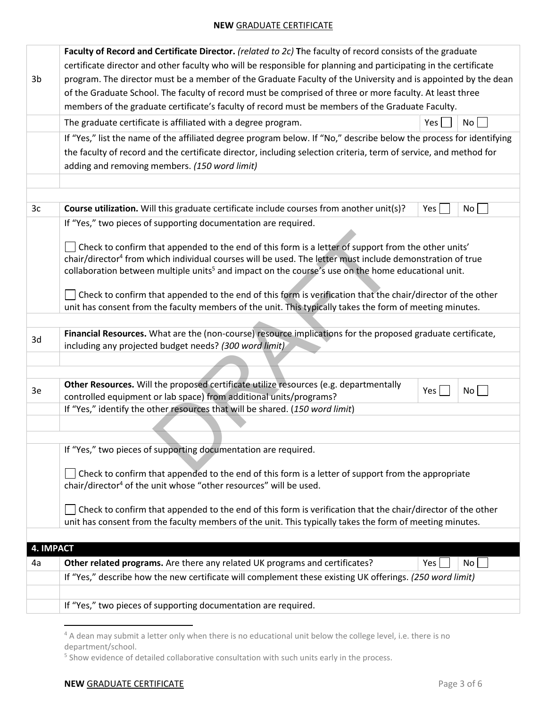|                  | Faculty of Record and Certificate Director. (related to 2c) The faculty of record consists of the graduate                                                                                                              |     |    |  |  |
|------------------|-------------------------------------------------------------------------------------------------------------------------------------------------------------------------------------------------------------------------|-----|----|--|--|
|                  | certificate director and other faculty who will be responsible for planning and participating in the certificate                                                                                                        |     |    |  |  |
| 3b               | program. The director must be a member of the Graduate Faculty of the University and is appointed by the dean                                                                                                           |     |    |  |  |
|                  | of the Graduate School. The faculty of record must be comprised of three or more faculty. At least three                                                                                                                |     |    |  |  |
|                  | members of the graduate certificate's faculty of record must be members of the Graduate Faculty.                                                                                                                        |     |    |  |  |
|                  |                                                                                                                                                                                                                         |     |    |  |  |
|                  | The graduate certificate is affiliated with a degree program.                                                                                                                                                           | Yes | No |  |  |
|                  | If "Yes," list the name of the affiliated degree program below. If "No," describe below the process for identifying                                                                                                     |     |    |  |  |
|                  | the faculty of record and the certificate director, including selection criteria, term of service, and method for                                                                                                       |     |    |  |  |
|                  | adding and removing members. (150 word limit)                                                                                                                                                                           |     |    |  |  |
|                  |                                                                                                                                                                                                                         |     |    |  |  |
|                  |                                                                                                                                                                                                                         |     |    |  |  |
| 3c               | Course utilization. Will this graduate certificate include courses from another unit(s)?                                                                                                                                | Yes | No |  |  |
|                  | If "Yes," two pieces of supporting documentation are required.                                                                                                                                                          |     |    |  |  |
|                  |                                                                                                                                                                                                                         |     |    |  |  |
|                  | Check to confirm that appended to the end of this form is a letter of support from the other units'                                                                                                                     |     |    |  |  |
|                  | chair/director <sup>4</sup> from which individual courses will be used. The letter must include demonstration of true                                                                                                   |     |    |  |  |
|                  | collaboration between multiple units <sup>5</sup> and impact on the course's use on the home educational unit.                                                                                                          |     |    |  |  |
|                  | Check to confirm that appended to the end of this form is verification that the chair/director of the other                                                                                                             |     |    |  |  |
|                  | unit has consent from the faculty members of the unit. This typically takes the form of meeting minutes.                                                                                                                |     |    |  |  |
|                  |                                                                                                                                                                                                                         |     |    |  |  |
|                  | Financial Resources. What are the (non-course) resource implications for the proposed graduate certificate,                                                                                                             |     |    |  |  |
| 3d               | including any projected budget needs? (300 word limit)                                                                                                                                                                  |     |    |  |  |
|                  |                                                                                                                                                                                                                         |     |    |  |  |
|                  |                                                                                                                                                                                                                         |     |    |  |  |
|                  | Other Resources. Will the proposed certificate utilize resources (e.g. departmentally                                                                                                                                   |     |    |  |  |
| 3e               | controlled equipment or lab space) from additional units/programs?                                                                                                                                                      | Yes | No |  |  |
|                  | If "Yes," identify the other resources that will be shared. (150 word limit)                                                                                                                                            |     |    |  |  |
|                  |                                                                                                                                                                                                                         |     |    |  |  |
|                  |                                                                                                                                                                                                                         |     |    |  |  |
|                  | If "Yes," two pieces of supporting documentation are required.                                                                                                                                                          |     |    |  |  |
|                  |                                                                                                                                                                                                                         |     |    |  |  |
|                  | Check to confirm that appended to the end of this form is a letter of support from the appropriate                                                                                                                      |     |    |  |  |
|                  | chair/director <sup>4</sup> of the unit whose "other resources" will be used.                                                                                                                                           |     |    |  |  |
|                  |                                                                                                                                                                                                                         |     |    |  |  |
|                  |                                                                                                                                                                                                                         |     |    |  |  |
|                  |                                                                                                                                                                                                                         |     |    |  |  |
|                  |                                                                                                                                                                                                                         |     |    |  |  |
|                  |                                                                                                                                                                                                                         |     |    |  |  |
| 4a               |                                                                                                                                                                                                                         |     | No |  |  |
|                  | If "Yes," describe how the new certificate will complement these existing UK offerings. (250 word limit)                                                                                                                |     |    |  |  |
|                  |                                                                                                                                                                                                                         |     |    |  |  |
|                  | If "Yes," two pieces of supporting documentation are required.                                                                                                                                                          |     |    |  |  |
|                  | Check to confirm that appended to the end of this form is verification that the chair/director of the other<br>unit has consent from the faculty members of the unit. This typically takes the form of meeting minutes. |     |    |  |  |
| <b>4. IMPACT</b> |                                                                                                                                                                                                                         |     |    |  |  |
|                  | Other related programs. Are there any related UK programs and certificates?                                                                                                                                             | Yes |    |  |  |
|                  |                                                                                                                                                                                                                         |     |    |  |  |
|                  |                                                                                                                                                                                                                         |     |    |  |  |
|                  |                                                                                                                                                                                                                         |     |    |  |  |
|                  |                                                                                                                                                                                                                         |     |    |  |  |

 4 A dean may submit a letter only when there is no educational unit below the college level, i.e. there is no department/school.

<sup>&</sup>lt;sup>5</sup> Show evidence of detailed collaborative consultation with such units early in the process.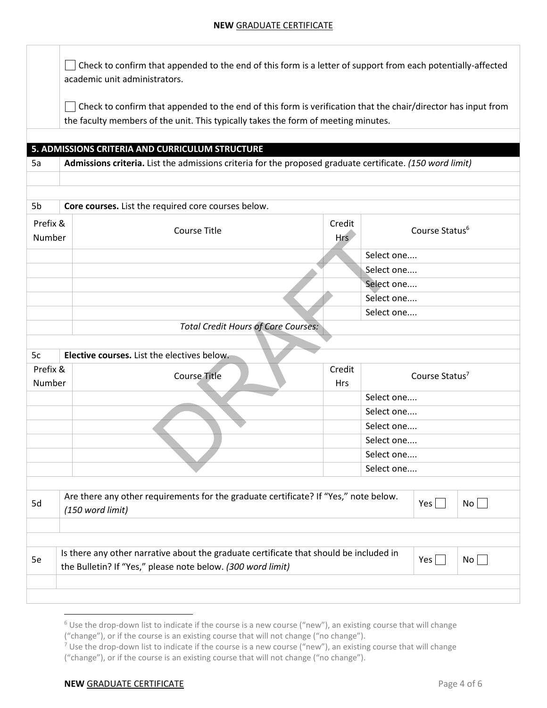| $\Box$ Check to confirm that appended to the end of this form is a letter of support from each potentially-affected |
|---------------------------------------------------------------------------------------------------------------------|
| academic unit administrators.                                                                                       |

Check to confirm that appended to the end of this form is verification that the chair/director has input from the faculty members of the unit. This typically takes the form of meeting minutes.

### **5. ADMISSIONS CRITERIA AND CURRICULUM STRUCTURE**

5a **Admissions criteria.** List the admissions criteria for the proposed graduate certificate. *(150 word limit)*

| 5b                                        | Core courses. List the required core courses below.                                                                                                                                  |               |                            |  |
|-------------------------------------------|--------------------------------------------------------------------------------------------------------------------------------------------------------------------------------------|---------------|----------------------------|--|
| Prefix &<br><b>Course Title</b><br>Number |                                                                                                                                                                                      | Credit<br>Hrs | Course Status <sup>6</sup> |  |
|                                           |                                                                                                                                                                                      |               | Select one                 |  |
|                                           |                                                                                                                                                                                      |               | Select one                 |  |
|                                           |                                                                                                                                                                                      |               | Select one                 |  |
|                                           |                                                                                                                                                                                      |               | Select one                 |  |
|                                           |                                                                                                                                                                                      |               | Select one                 |  |
|                                           | <b>Total Credit Hours of Core Courses:</b>                                                                                                                                           |               |                            |  |
|                                           |                                                                                                                                                                                      |               |                            |  |
| 5c                                        | Elective courses. List the electives below.                                                                                                                                          |               |                            |  |
| Prefix &<br>Number                        | <b>Course Title</b>                                                                                                                                                                  | Credit<br>Hrs | Course Status <sup>7</sup> |  |
|                                           |                                                                                                                                                                                      |               | Select one                 |  |
|                                           |                                                                                                                                                                                      |               | Select one                 |  |
|                                           |                                                                                                                                                                                      |               | Select one                 |  |
|                                           |                                                                                                                                                                                      |               | Select one                 |  |
|                                           |                                                                                                                                                                                      |               | Select one                 |  |
|                                           |                                                                                                                                                                                      |               | Select one                 |  |
|                                           |                                                                                                                                                                                      |               |                            |  |
| 5d                                        | Are there any other requirements for the graduate certificate? If "Yes," note below.<br>$No \Box$<br>$Yes \mid \mid$<br>(150 word limit)                                             |               |                            |  |
|                                           |                                                                                                                                                                                      |               |                            |  |
|                                           |                                                                                                                                                                                      |               |                            |  |
| 5e                                        | Is there any other narrative about the graduate certificate that should be included in<br>$Yes \mid \mid$<br>$No$    <br>the Bulletin? If "Yes," please note below. (300 word limit) |               |                            |  |
|                                           |                                                                                                                                                                                      |               |                            |  |
|                                           |                                                                                                                                                                                      |               |                            |  |

 $\overline{\phantom{a}}$ 

<sup>&</sup>lt;sup>6</sup> Use the drop-down list to indicate if the course is a new course ("new"), an existing course that will change

<sup>(&</sup>quot;change"), or if the course is an existing course that will not change ("no change").

<sup>&</sup>lt;sup>7</sup> Use the drop-down list to indicate if the course is a new course ("new"), an existing course that will change ("change"), or if the course is an existing course that will not change ("no change").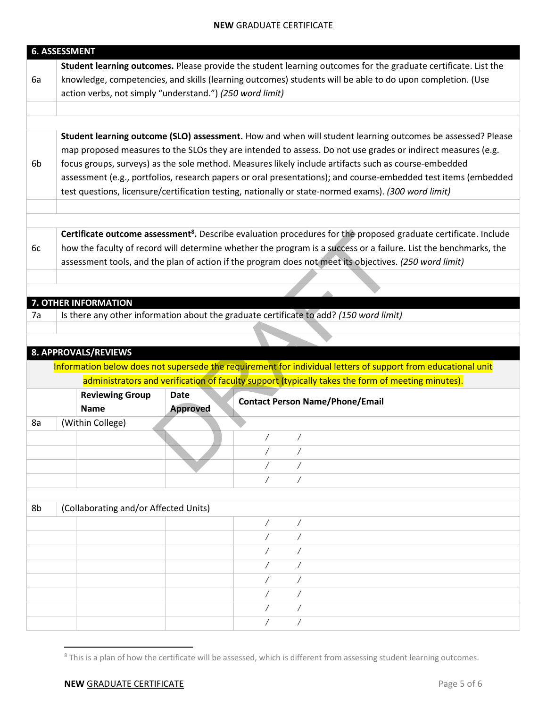|    | <b>6. ASSESSMENT</b>                                                                                        |                 |                                                                                                                             |  |  |
|----|-------------------------------------------------------------------------------------------------------------|-----------------|-----------------------------------------------------------------------------------------------------------------------------|--|--|
|    |                                                                                                             |                 | Student learning outcomes. Please provide the student learning outcomes for the graduate certificate. List the              |  |  |
| 6a | knowledge, competencies, and skills (learning outcomes) students will be able to do upon completion. (Use   |                 |                                                                                                                             |  |  |
|    | action verbs, not simply "understand.") (250 word limit)                                                    |                 |                                                                                                                             |  |  |
|    |                                                                                                             |                 |                                                                                                                             |  |  |
|    |                                                                                                             |                 |                                                                                                                             |  |  |
|    |                                                                                                             |                 | Student learning outcome (SLO) assessment. How and when will student learning outcomes be assessed? Please                  |  |  |
|    | map proposed measures to the SLOs they are intended to assess. Do not use grades or indirect measures (e.g. |                 |                                                                                                                             |  |  |
| 6b | focus groups, surveys) as the sole method. Measures likely include artifacts such as course-embedded        |                 |                                                                                                                             |  |  |
|    |                                                                                                             |                 | assessment (e.g., portfolios, research papers or oral presentations); and course-embedded test items (embedded              |  |  |
|    |                                                                                                             |                 | test questions, licensure/certification testing, nationally or state-normed exams). (300 word limit)                        |  |  |
|    |                                                                                                             |                 |                                                                                                                             |  |  |
|    |                                                                                                             |                 |                                                                                                                             |  |  |
|    |                                                                                                             |                 | Certificate outcome assessment <sup>8</sup> . Describe evaluation procedures for the proposed graduate certificate. Include |  |  |
| 6c |                                                                                                             |                 | how the faculty of record will determine whether the program is a success or a failure. List the benchmarks, the            |  |  |
|    |                                                                                                             |                 | assessment tools, and the plan of action if the program does not meet its objectives. (250 word limit)                      |  |  |
|    |                                                                                                             |                 |                                                                                                                             |  |  |
|    | 7. OTHER INFORMATION                                                                                        |                 |                                                                                                                             |  |  |
| 7a |                                                                                                             |                 | Is there any other information about the graduate certificate to add? (150 word limit)                                      |  |  |
|    |                                                                                                             |                 |                                                                                                                             |  |  |
|    |                                                                                                             |                 |                                                                                                                             |  |  |
|    | 8. APPROVALS/REVIEWS                                                                                        |                 |                                                                                                                             |  |  |
|    |                                                                                                             |                 | Information below does not supersede the requirement for individual letters of support from educational unit                |  |  |
|    |                                                                                                             |                 | administrators and verification of faculty support (typically takes the form of meeting minutes).                           |  |  |
|    | <b>Reviewing Group</b>                                                                                      | <b>Date</b>     |                                                                                                                             |  |  |
|    | <b>Name</b>                                                                                                 | <b>Approved</b> | <b>Contact Person Name/Phone/Email</b>                                                                                      |  |  |
| 8a | (Within College)                                                                                            |                 |                                                                                                                             |  |  |
|    |                                                                                                             |                 |                                                                                                                             |  |  |
|    |                                                                                                             |                 |                                                                                                                             |  |  |
|    |                                                                                                             |                 |                                                                                                                             |  |  |
|    |                                                                                                             |                 | $\sqrt{2}$                                                                                                                  |  |  |
|    |                                                                                                             |                 |                                                                                                                             |  |  |
| 8b | (Collaborating and/or Affected Units)                                                                       |                 |                                                                                                                             |  |  |
|    |                                                                                                             |                 | Τ<br>Ϊ                                                                                                                      |  |  |
|    |                                                                                                             |                 |                                                                                                                             |  |  |
|    |                                                                                                             |                 |                                                                                                                             |  |  |
|    |                                                                                                             |                 |                                                                                                                             |  |  |
|    |                                                                                                             |                 |                                                                                                                             |  |  |
|    |                                                                                                             |                 |                                                                                                                             |  |  |
|    |                                                                                                             |                 |                                                                                                                             |  |  |
|    |                                                                                                             |                 |                                                                                                                             |  |  |

 $\overline{a}$ 

<sup>&</sup>lt;sup>8</sup> This is a plan of how the certificate will be assessed, which is different from assessing student learning outcomes.